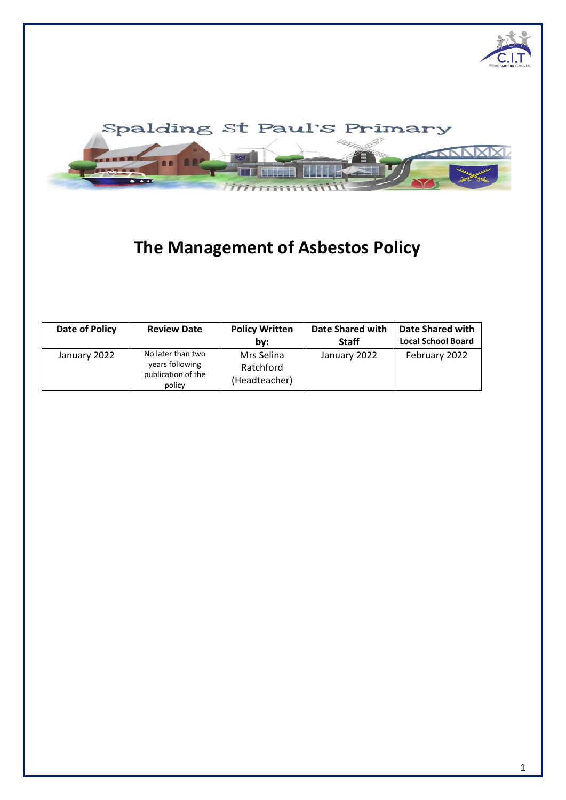



# **The Management of Asbestos Policy**

| Date of Policy | <b>Review Date</b>                                                   | <b>Policy Written</b><br>bv:             | Date Shared with<br><b>Staff</b> | <b>Date Shared with</b><br><b>Local School Board</b> |
|----------------|----------------------------------------------------------------------|------------------------------------------|----------------------------------|------------------------------------------------------|
| January 2022   | No later than two<br>years following<br>publication of the<br>policy | Mrs Selina<br>Ratchford<br>(Headteacher) | January 2022                     | February 2022                                        |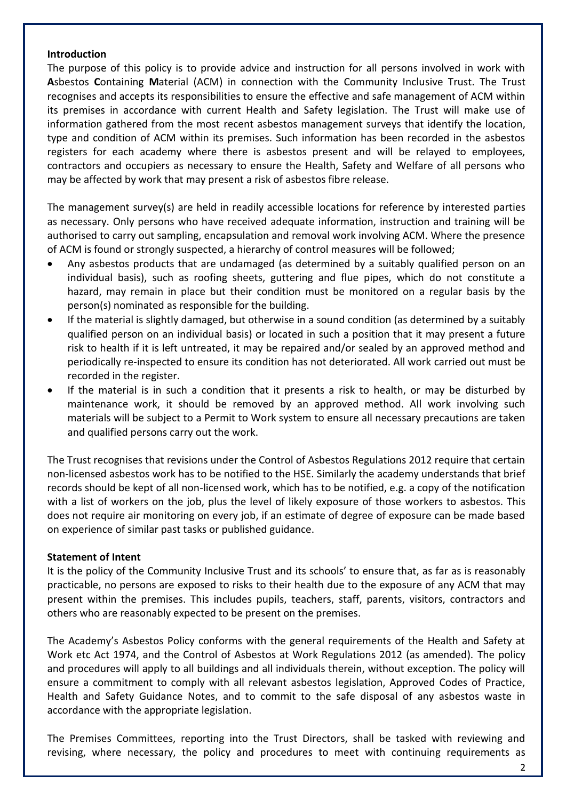#### **Introduction**

The purpose of this policy is to provide advice and instruction for all persons involved in work with **A**sbestos **C**ontaining **M**aterial (ACM) in connection with the Community Inclusive Trust. The Trust recognises and accepts its responsibilities to ensure the effective and safe management of ACM within its premises in accordance with current Health and Safety legislation. The Trust will make use of information gathered from the most recent asbestos management surveys that identify the location, type and condition of ACM within its premises. Such information has been recorded in the asbestos registers for each academy where there is asbestos present and will be relayed to employees, contractors and occupiers as necessary to ensure the Health, Safety and Welfare of all persons who may be affected by work that may present a risk of asbestos fibre release.

The management survey(s) are held in readily accessible locations for reference by interested parties as necessary. Only persons who have received adequate information, instruction and training will be authorised to carry out sampling, encapsulation and removal work involving ACM. Where the presence of ACM is found or strongly suspected, a hierarchy of control measures will be followed;

- Any asbestos products that are undamaged (as determined by a suitably qualified person on an individual basis), such as roofing sheets, guttering and flue pipes, which do not constitute a hazard, may remain in place but their condition must be monitored on a regular basis by the person(s) nominated as responsible for the building.
- If the material is slightly damaged, but otherwise in a sound condition (as determined by a suitably qualified person on an individual basis) or located in such a position that it may present a future risk to health if it is left untreated, it may be repaired and/or sealed by an approved method and periodically re-inspected to ensure its condition has not deteriorated. All work carried out must be recorded in the register.
- If the material is in such a condition that it presents a risk to health, or may be disturbed by maintenance work, it should be removed by an approved method. All work involving such materials will be subject to a Permit to Work system to ensure all necessary precautions are taken and qualified persons carry out the work.

The Trust recognises that revisions under the Control of Asbestos Regulations 2012 require that certain non-licensed asbestos work has to be notified to the HSE. Similarly the academy understands that brief records should be kept of all non-licensed work, which has to be notified, e.g. a copy of the notification with a list of workers on the job, plus the level of likely exposure of those workers to asbestos. This does not require air monitoring on every job, if an estimate of degree of exposure can be made based on experience of similar past tasks or published guidance.

## **Statement of Intent**

It is the policy of the Community Inclusive Trust and its schools' to ensure that, as far as is reasonably practicable, no persons are exposed to risks to their health due to the exposure of any ACM that may present within the premises. This includes pupils, teachers, staff, parents, visitors, contractors and others who are reasonably expected to be present on the premises.

The Academy's Asbestos Policy conforms with the general requirements of the Health and Safety at Work etc Act 1974, and the Control of Asbestos at Work Regulations 2012 (as amended). The policy and procedures will apply to all buildings and all individuals therein, without exception. The policy will ensure a commitment to comply with all relevant asbestos legislation, Approved Codes of Practice, Health and Safety Guidance Notes, and to commit to the safe disposal of any asbestos waste in accordance with the appropriate legislation.

The Premises Committees, reporting into the Trust Directors, shall be tasked with reviewing and revising, where necessary, the policy and procedures to meet with continuing requirements as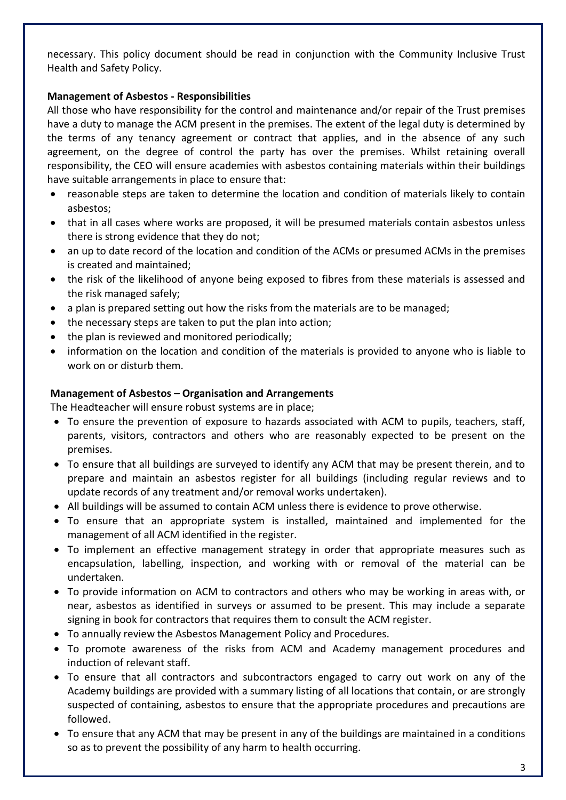necessary. This policy document should be read in conjunction with the Community Inclusive Trust Health and Safety Policy.

## **Management of Asbestos - Responsibilities**

All those who have responsibility for the control and maintenance and/or repair of the Trust premises have a duty to manage the ACM present in the premises. The extent of the legal duty is determined by the terms of any tenancy agreement or contract that applies, and in the absence of any such agreement, on the degree of control the party has over the premises. Whilst retaining overall responsibility, the CEO will ensure academies with asbestos containing materials within their buildings have suitable arrangements in place to ensure that:

- reasonable steps are taken to determine the location and condition of materials likely to contain asbestos;
- that in all cases where works are proposed, it will be presumed materials contain asbestos unless there is strong evidence that they do not;
- an up to date record of the location and condition of the ACMs or presumed ACMs in the premises is created and maintained;
- the risk of the likelihood of anyone being exposed to fibres from these materials is assessed and the risk managed safely;
- a plan is prepared setting out how the risks from the materials are to be managed;
- the necessary steps are taken to put the plan into action;
- the plan is reviewed and monitored periodically;
- information on the location and condition of the materials is provided to anyone who is liable to work on or disturb them.

## **Management of Asbestos – Organisation and Arrangements**

The Headteacher will ensure robust systems are in place;

- To ensure the prevention of exposure to hazards associated with ACM to pupils, teachers, staff, parents, visitors, contractors and others who are reasonably expected to be present on the premises.
- To ensure that all buildings are surveyed to identify any ACM that may be present therein, and to prepare and maintain an asbestos register for all buildings (including regular reviews and to update records of any treatment and/or removal works undertaken).
- All buildings will be assumed to contain ACM unless there is evidence to prove otherwise.
- To ensure that an appropriate system is installed, maintained and implemented for the management of all ACM identified in the register.
- To implement an effective management strategy in order that appropriate measures such as encapsulation, labelling, inspection, and working with or removal of the material can be undertaken.
- To provide information on ACM to contractors and others who may be working in areas with, or near, asbestos as identified in surveys or assumed to be present. This may include a separate signing in book for contractors that requires them to consult the ACM register.
- To annually review the Asbestos Management Policy and Procedures.
- To promote awareness of the risks from ACM and Academy management procedures and induction of relevant staff.
- To ensure that all contractors and subcontractors engaged to carry out work on any of the Academy buildings are provided with a summary listing of all locations that contain, or are strongly suspected of containing, asbestos to ensure that the appropriate procedures and precautions are followed.
- To ensure that any ACM that may be present in any of the buildings are maintained in a conditions so as to prevent the possibility of any harm to health occurring.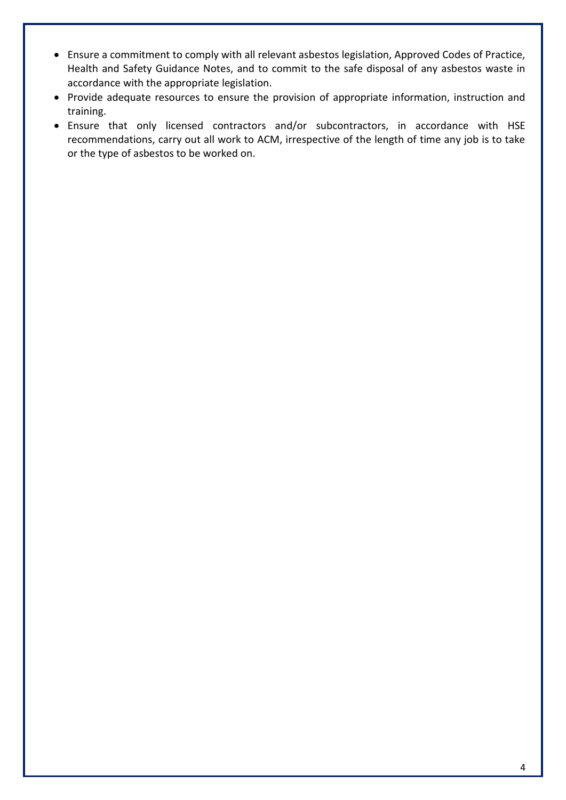- Ensure a commitment to comply with all relevant asbestos legislation, Approved Codes of Practice, Health and Safety Guidance Notes, and to commit to the safe disposal of any asbestos waste in accordance with the appropriate legislation.
- Provide adequate resources to ensure the provision of appropriate information, instruction and training.
- Ensure that only licensed contractors and/or subcontractors, in accordance with HSE recommendations, carry out all work to ACM, irrespective of the length of time any job is to take or the type of asbestos to be worked on.